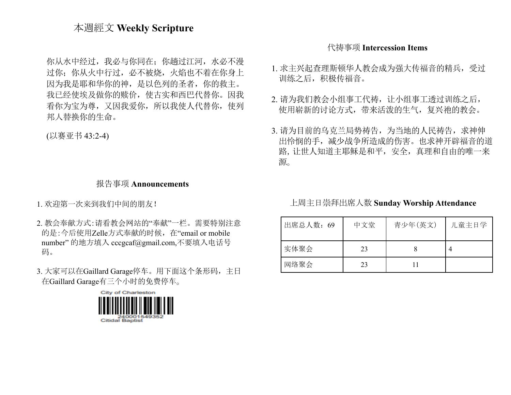## 本週經文 **Weekly Scripture**

你从水中经过,我必与你同在;你趟过江河,水必不漫 过你;你从火中行过,必不被烧,火焰也不着在你身上 因为我是耶和华你的神,是以色列的圣者,你的救主。 我已经使埃及做你的赎价,使古实和西巴代替你。因我 看你为宝为尊,又因我爱你,所以我使人代替你,使列 邦人替换你的生命。

(以赛亚书 43:2-4)

#### 报告事项 **Announcements**

1. 欢迎第一次来到我们中间的朋友!

- 2. 教会奉献方式:请看教会网站的"奉献"一栏。需要特别注意 的是:今后使用Zelle方式奉献的时候, 在"email or mobile number" 的地方填入 [cccgcaf@gmail.com](mailto:cccgcaf@gmail.com),不要填入电话号 码。
- 3. 大家可以在Gaillard Garage停车。用下面这个条形码,主日 在Gaillard Garage有三个小时的免费停车。



### 代祷事项 **Intercession Items**

- 1. 求主兴起查理斯顿华人教会成为强大传福音的精兵,受过 训练之后,积极传福音。
- 2. 请为我们教会小组事工代祷, 让小组事工透过训练之后, 使用崭新的讨论方式,带来活泼的生气,复兴祂的教会。
- 3. 请为目前的乌克兰局势祷告,为当地的人民祷告, 求神伸 出怜悯的手,减少战争所造成的伤害。也求神开辟福音的道 路,让世人知道主耶稣是和平,安全,真理和自由的唯一来 源。

#### 上周主日崇拜出席人数 **Sunday Worship Attendance**

| 出席总人数: 69 | 中文堂 | 青少年(英文) | 儿童主日学 |
|-----------|-----|---------|-------|
| 实体聚会      | 23  |         |       |
| 网络聚会      | 23  |         |       |